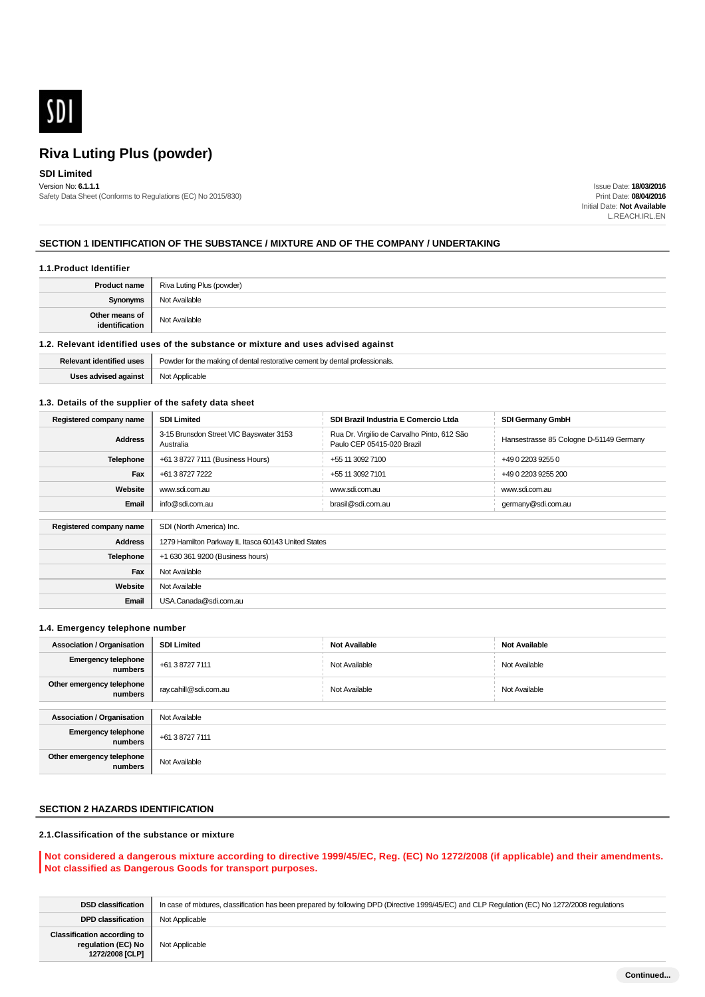

## **SDI Limited**

Version No: **6.1.1.1** Safety Data Sheet (Conforms to Regulations (EC) No 2015/830)

Issue Date: **18/03/2016** Print Date: **08/04/2016** Initial Date: **Not Available** L.REACH.IRL.EN

### **SECTION 1 IDENTIFICATION OF THE SUBSTANCE / MIXTURE AND OF THE COMPANY / UNDERTAKING**

#### **1.1.Product Identifier**

| <b>Product name</b>              | Riva Luting Plus (powder) |
|----------------------------------|---------------------------|
| Synonyms                         | Not Available             |
| Other means of<br>identification | Not Available             |

#### **1.2. Relevant identified uses of the substance or mixture and uses advised against**

|         | dont <sup>r</sup><br>essionals.<br>. |
|---------|--------------------------------------|
| against | Applicable<br>$N \sim$               |

### **1.3. Details of the supplier of the safety data sheet**

| Registered company name | <b>SDI Limited</b>                                   | SDI Brazil Industria E Comercio Ltda                                      | <b>SDI Germany GmbH</b>                 |  |
|-------------------------|------------------------------------------------------|---------------------------------------------------------------------------|-----------------------------------------|--|
| <b>Address</b>          | 3-15 Brunsdon Street VIC Bayswater 3153<br>Australia | Rua Dr. Virgilio de Carvalho Pinto, 612 São<br>Paulo CEP 05415-020 Brazil | Hansestrasse 85 Cologne D-51149 Germany |  |
| <b>Telephone</b>        | +61 3 8727 7111 (Business Hours)                     | +55 11 3092 7100                                                          | +49 0 2203 9255 0                       |  |
| Fax                     | +61 3 8727 7222                                      | +55 11 3092 7101                                                          | +49 0 2203 9255 200                     |  |
| Website                 | www.sdi.com.au                                       | www.sdi.com.au                                                            | www.sdi.com.au                          |  |
| Email                   | info@sdi.com.au                                      | brasil@sdi.com.au                                                         | germany@sdi.com.au                      |  |
|                         |                                                      |                                                                           |                                         |  |
| Registered company name | SDI (North America) Inc.                             |                                                                           |                                         |  |
| <b>Address</b>          | 1279 Hamilton Parkway IL Itasca 60143 United States  |                                                                           |                                         |  |
| Telephone               | +1 630 361 9200 (Business hours)                     |                                                                           |                                         |  |
| Fax                     | Not Available                                        |                                                                           |                                         |  |
| Website                 | Not Available                                        |                                                                           |                                         |  |
| Email                   | USA.Canada@sdi.com.au                                |                                                                           |                                         |  |

#### **1.4. Emergency telephone number**

| <b>Association / Organisation</b>     | <b>SDI Limited</b>    | <b>Not Available</b> | <b>Not Available</b> |
|---------------------------------------|-----------------------|----------------------|----------------------|
| <b>Emergency telephone</b><br>numbers | +61 3 8727 7111       | Not Available        | Not Available        |
| Other emergency telephone<br>numbers  | ray.cahill@sdi.com.au | Not Available        | Not Available        |
|                                       |                       |                      |                      |
| <b>Association / Organisation</b>     | Not Available         |                      |                      |
| <b>Emergency telephone</b><br>numbers | +61 3 8727 7111       |                      |                      |
| Other emergency telephone<br>numbers  | Not Available         |                      |                      |

## **SECTION 2 HAZARDS IDENTIFICATION**

### **2.1.Classification of the substance or mixture**

### **Not considered a dangerous mixture according to directive 1999/45/EC, Reg. (EC) No 1272/2008 (if applicable) and their amendments. Not classified as Dangerous Goods for transport purposes.**

| <b>DSD classification</b>                                                   | In case of mixtures, classification has been prepared by following DPD (Directive 1999/45/EC) and CLP Requlation (EC) No 1272/2008 requlations |
|-----------------------------------------------------------------------------|------------------------------------------------------------------------------------------------------------------------------------------------|
| <b>DPD classification</b>                                                   | Not Applicable                                                                                                                                 |
| <b>Classification according to</b><br>regulation (EC) No<br>1272/2008 [CLP] | Not Applicable                                                                                                                                 |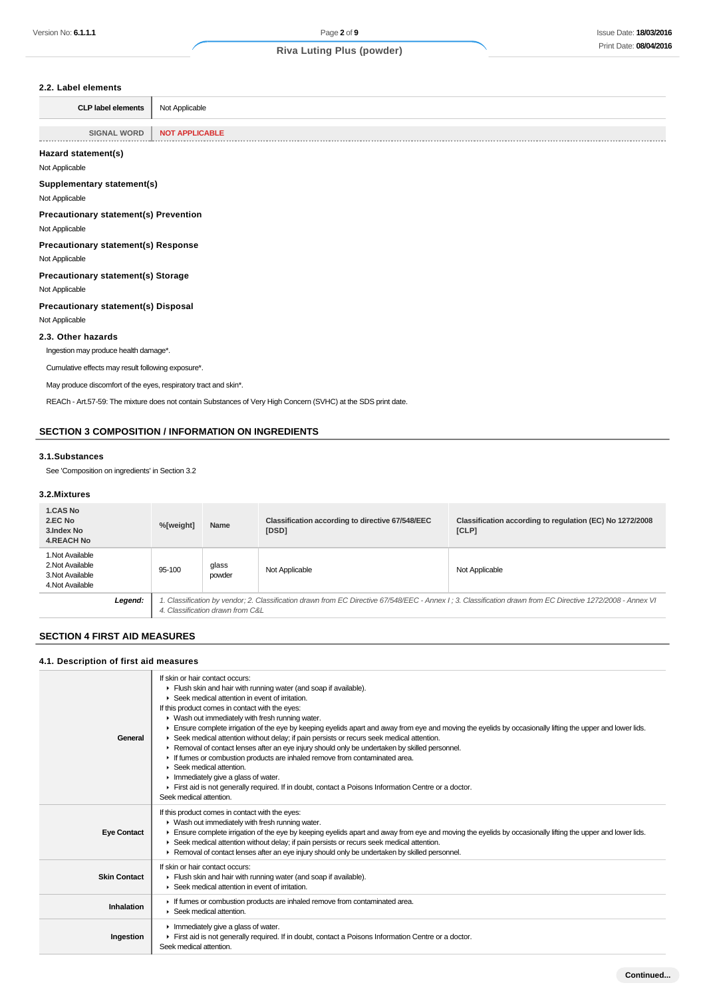## **2.2. Label elements**

| z.z. Label elements                                              |                                                                                                               |
|------------------------------------------------------------------|---------------------------------------------------------------------------------------------------------------|
| <b>CLP label elements</b>                                        | Not Applicable                                                                                                |
| <b>SIGNAL WORD</b><br>                                           | <b>NOT APPLICABLE</b>                                                                                         |
| Hazard statement(s)                                              |                                                                                                               |
| Not Applicable                                                   |                                                                                                               |
| Supplementary statement(s)                                       |                                                                                                               |
| Not Applicable                                                   |                                                                                                               |
| <b>Precautionary statement(s) Prevention</b>                     |                                                                                                               |
| Not Applicable                                                   |                                                                                                               |
| <b>Precautionary statement(s) Response</b>                       |                                                                                                               |
| Not Applicable                                                   |                                                                                                               |
| <b>Precautionary statement(s) Storage</b>                        |                                                                                                               |
| Not Applicable                                                   |                                                                                                               |
| Precautionary statement(s) Disposal                              |                                                                                                               |
| Not Applicable                                                   |                                                                                                               |
| 2.3. Other hazards                                               |                                                                                                               |
| Ingestion may produce health damage*.                            |                                                                                                               |
| Cumulative effects may result following exposure*.               |                                                                                                               |
| May produce discomfort of the eyes, respiratory tract and skin*. |                                                                                                               |
|                                                                  | REACh - Art.57-59: The mixture does not contain Substances of Very High Concern (SVHC) at the SDS print date. |
|                                                                  |                                                                                                               |
|                                                                  | <b>SECTION 3 COMPOSITION / INFORMATION ON INGREDIENTS</b>                                                     |

#### **3.1.Substances**

See 'Composition on ingredients' in Section 3.2

#### **3.2.Mixtures**

| <b>1.CAS No</b><br>2.EC No<br>3. Index No<br><b>4.REACH No</b>               |         | %[weight]                                                                                                                                                                                        | Name            | Classification according to directive 67/548/EEC<br>[DSD] | Classification according to regulation (EC) No 1272/2008<br>[CLP] |
|------------------------------------------------------------------------------|---------|--------------------------------------------------------------------------------------------------------------------------------------------------------------------------------------------------|-----------------|-----------------------------------------------------------|-------------------------------------------------------------------|
| 1. Not Available<br>2. Not Available<br>3. Not Available<br>4. Not Available |         | 95-100                                                                                                                                                                                           | glass<br>powder | Not Applicable                                            | Not Applicable                                                    |
|                                                                              | Legend: | 1. Classification by vendor; 2. Classification drawn from EC Directive 67/548/EEC - Annex I ; 3. Classification drawn from EC Directive 1272/2008 - Annex VI<br>4. Classification drawn from C&L |                 |                                                           |                                                                   |

## **SECTION 4 FIRST AID MEASURES**

### **4.1. Description of first aid measures**

| General             | If skin or hair contact occurs:<br>Flush skin and hair with running water (and soap if available).<br>▶ Seek medical attention in event of irritation.<br>If this product comes in contact with the eyes:<br>▶ Wash out immediately with fresh running water.<br>Ensure complete irrigation of the eye by keeping eyelids apart and away from eye and moving the eyelids by occasionally lifting the upper and lower lids.<br>► Seek medical attention without delay; if pain persists or recurs seek medical attention.<br>▶ Removal of contact lenses after an eye injury should only be undertaken by skilled personnel.<br>If fumes or combustion products are inhaled remove from contaminated area.<br>$\blacktriangleright$ Seek medical attention.<br>$\blacktriangleright$ Immediately give a glass of water.<br>First aid is not generally required. If in doubt, contact a Poisons Information Centre or a doctor.<br>Seek medical attention. |
|---------------------|----------------------------------------------------------------------------------------------------------------------------------------------------------------------------------------------------------------------------------------------------------------------------------------------------------------------------------------------------------------------------------------------------------------------------------------------------------------------------------------------------------------------------------------------------------------------------------------------------------------------------------------------------------------------------------------------------------------------------------------------------------------------------------------------------------------------------------------------------------------------------------------------------------------------------------------------------------|
| <b>Eye Contact</b>  | If this product comes in contact with the eyes:<br>• Wash out immediately with fresh running water.<br>Ensure complete irrigation of the eye by keeping eyelids apart and away from eye and moving the eyelids by occasionally lifting the upper and lower lids.<br>► Seek medical attention without delay; if pain persists or recurs seek medical attention.<br>► Removal of contact lenses after an eye injury should only be undertaken by skilled personnel.                                                                                                                                                                                                                                                                                                                                                                                                                                                                                        |
| <b>Skin Contact</b> | If skin or hair contact occurs:<br>Flush skin and hair with running water (and soap if available).<br>▶ Seek medical attention in event of irritation.                                                                                                                                                                                                                                                                                                                                                                                                                                                                                                                                                                                                                                                                                                                                                                                                   |
| Inhalation          | If fumes or combustion products are inhaled remove from contaminated area.<br>▶ Seek medical attention.                                                                                                                                                                                                                                                                                                                                                                                                                                                                                                                                                                                                                                                                                                                                                                                                                                                  |
| Ingestion           | $\blacktriangleright$ Immediately give a glass of water.<br>First aid is not generally required. If in doubt, contact a Poisons Information Centre or a doctor.<br>Seek medical attention.                                                                                                                                                                                                                                                                                                                                                                                                                                                                                                                                                                                                                                                                                                                                                               |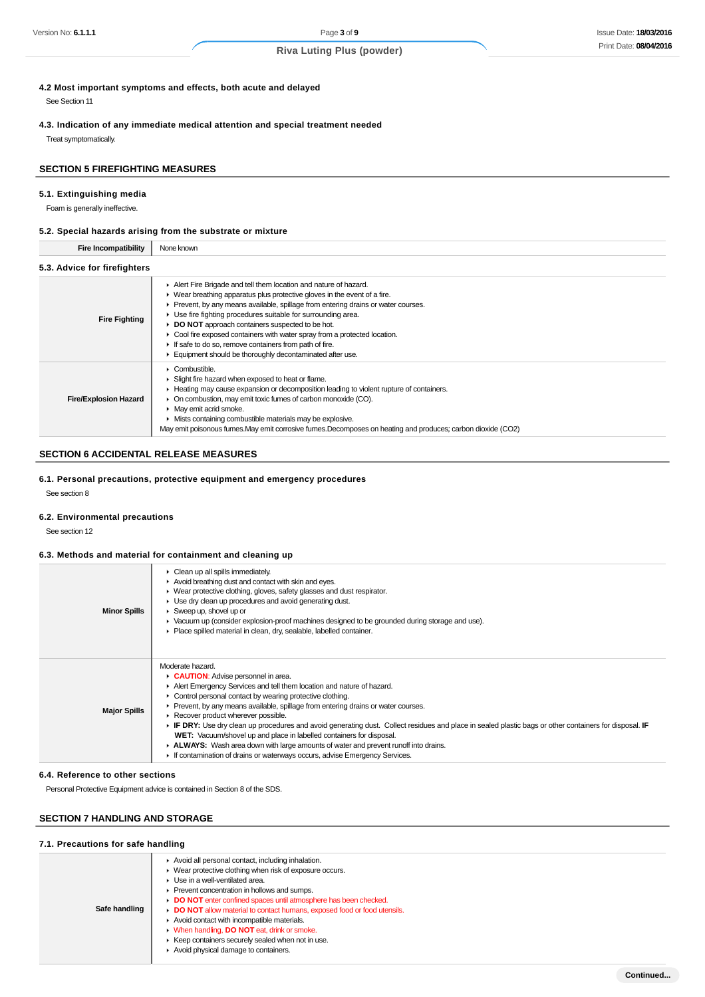**4.2 Most important symptoms and effects, both acute and delayed**

See Section 11

**4.3. Indication of any immediate medical attention and special treatment needed** Treat symptomatically.

### **SECTION 5 FIREFIGHTING MEASURES**

#### **5.1. Extinguishing media**

Foam is generally ineffective.

#### **5.2. Special hazards arising from the substrate or mixture**

**Fire Incompatibility** None known

| $3.3.$ Auvice for incligate $3$ |                                                                                                                                                                                                                                                                                                                                                                                                                                                                                                                                                          |  |  |  |  |
|---------------------------------|----------------------------------------------------------------------------------------------------------------------------------------------------------------------------------------------------------------------------------------------------------------------------------------------------------------------------------------------------------------------------------------------------------------------------------------------------------------------------------------------------------------------------------------------------------|--|--|--|--|
| <b>Fire Fighting</b>            | Alert Fire Brigade and tell them location and nature of hazard.<br>▶ Wear breathing apparatus plus protective gloves in the event of a fire.<br>Prevent, by any means available, spillage from entering drains or water courses.<br>▶ Use fire fighting procedures suitable for surrounding area.<br>DO NOT approach containers suspected to be hot.<br>• Cool fire exposed containers with water spray from a protected location.<br>If safe to do so, remove containers from path of fire.<br>Equipment should be thoroughly decontaminated after use. |  |  |  |  |
| <b>Fire/Explosion Hazard</b>    | • Combustible.<br>• Slight fire hazard when exposed to heat or flame.<br>► Heating may cause expansion or decomposition leading to violent rupture of containers.<br>• On combustion, may emit toxic fumes of carbon monoxide (CO).<br>• May emit acrid smoke.<br>Mists containing combustible materials may be explosive.<br>May emit poisonous fumes. May emit corrosive fumes. Decomposes on heating and produces; carbon dioxide (CO2)                                                                                                               |  |  |  |  |

### **SECTION 6 ACCIDENTAL RELEASE MEASURES**

**6.1. Personal precautions, protective equipment and emergency procedures**

See section 8

#### **6.2. Environmental precautions**

See section 12

#### **6.3. Methods and material for containment and cleaning up**

| <b>Minor Spills</b> | Clean up all spills immediately.<br>Avoid breathing dust and contact with skin and eyes.<br>▶ Wear protective clothing, gloves, safety glasses and dust respirator.<br>$\blacktriangleright$ Use dry clean up procedures and avoid generating dust.<br>$\triangleright$ Sweep up, shovel up or<br>► Vacuum up (consider explosion-proof machines designed to be grounded during storage and use).<br>Place spilled material in clean, dry, sealable, labelled container.                                                                                                                                                                                                                                                                  |
|---------------------|-------------------------------------------------------------------------------------------------------------------------------------------------------------------------------------------------------------------------------------------------------------------------------------------------------------------------------------------------------------------------------------------------------------------------------------------------------------------------------------------------------------------------------------------------------------------------------------------------------------------------------------------------------------------------------------------------------------------------------------------|
| <b>Major Spills</b> | Moderate hazard.<br><b>CAUTION:</b> Advise personnel in area.<br>Alert Emergency Services and tell them location and nature of hazard.<br>• Control personal contact by wearing protective clothing.<br>► Prevent, by any means available, spillage from entering drains or water courses.<br>Recover product wherever possible.<br>► IF DRY: Use dry clean up procedures and avoid generating dust. Collect residues and place in sealed plastic bags or other containers for disposal. IF<br>WET: Vacuum/shovel up and place in labelled containers for disposal.<br>► ALWAYS: Wash area down with large amounts of water and prevent runoff into drains.<br>If contamination of drains or waterways occurs, advise Emergency Services. |

#### **6.4. Reference to other sections**

Personal Protective Equipment advice is contained in Section 8 of the SDS.

### **SECTION 7 HANDLING AND STORAGE**

#### **7.1. Precautions for safe handling**

| Safe handling | Avoid all personal contact, including inhalation.<br>• Wear protective clothing when risk of exposure occurs.<br>▶ Use in a well-ventilated area.<br>▶ Prevent concentration in hollows and sumps.<br>DO NOT enter confined spaces until atmosphere has been checked.<br>DO NOT allow material to contact humans, exposed food or food utensils.<br>Avoid contact with incompatible materials.<br>• When handling, <b>DO NOT</b> eat, drink or smoke.<br>▶ Keep containers securely sealed when not in use.<br>Avoid physical damage to containers. |  |  |  |  |
|---------------|-----------------------------------------------------------------------------------------------------------------------------------------------------------------------------------------------------------------------------------------------------------------------------------------------------------------------------------------------------------------------------------------------------------------------------------------------------------------------------------------------------------------------------------------------------|--|--|--|--|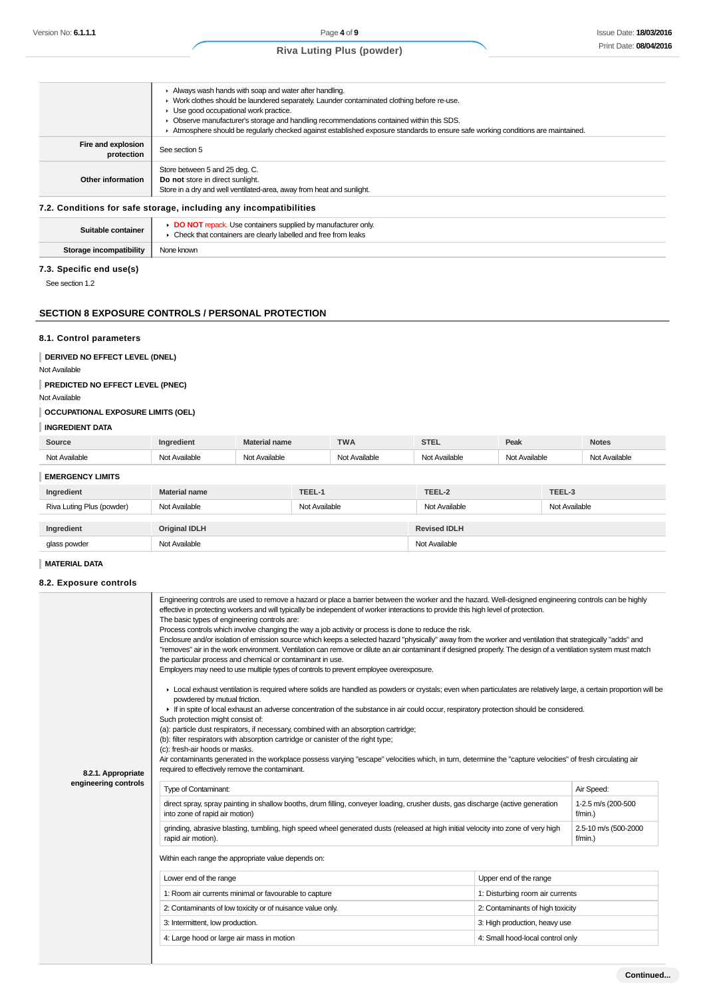|                                  | Always wash hands with soap and water after handling.<br>► Work clothes should be laundered separately. Launder contaminated clothing before re-use.<br>Use good occupational work practice.<br>Observe manufacturer's storage and handling recommendations contained within this SDS. |
|----------------------------------|----------------------------------------------------------------------------------------------------------------------------------------------------------------------------------------------------------------------------------------------------------------------------------------|
|                                  | Atmosphere should be reqularly checked against established exposure standards to ensure safe working conditions are maintained.                                                                                                                                                        |
| Fire and explosion<br>protection | See section 5                                                                                                                                                                                                                                                                          |
| Other information                | Store between 5 and 25 deg. C.<br>Do not store in direct sunlight.<br>Store in a dry and well ventilated-area, away from heat and sunlight.                                                                                                                                            |

#### **7.2. Conditions for safe storage, including any incompatibilities**

| Suitable container      | <b>DO NOT</b> repack. Use containers supplied by manufacturer only<br>Check that containers are clearly labelled and free from leaks |
|-------------------------|--------------------------------------------------------------------------------------------------------------------------------------|
| Storage incompatibility | None known                                                                                                                           |

### **7.3. Specific end use(s)**

See section 1.2

### **SECTION 8 EXPOSURE CONTROLS / PERSONAL PROTECTION**

#### **8.1. Control parameters**

**DERIVED NO EFFECT LEVEL (DNEL)**

## Not Available

**PREDICTED NO EFFECT LEVEL (PNEC)**

## Not Available

### **OCCUPATIONAL EXPOSURE LIMITS (OEL)**

### **INGREDIENT DATA**

| Source                    | Ingredient           | <b>Material name</b> | <b>TWA</b>    | <b>STEL</b>         | Peak          |               | <b>Notes</b>  |
|---------------------------|----------------------|----------------------|---------------|---------------------|---------------|---------------|---------------|
| Not Available             | Not Available        | Not Available        | Not Available | Not Available       | Not Available |               | Not Available |
| <b>EMERGENCY LIMITS</b>   |                      |                      |               |                     |               |               |               |
| Ingredient                | Material name        | TEEL-1               |               | TEEL-2              |               | TEEL-3        |               |
| Riva Luting Plus (powder) | Not Available        |                      | Not Available | Not Available       |               | Not Available |               |
|                           |                      |                      |               |                     |               |               |               |
| Ingredient                | <b>Original IDLH</b> |                      |               | <b>Revised IDLH</b> |               |               |               |
| glass powder              | Not Available        |                      |               | Not Available       |               |               |               |

## **MATERIAL DATA**

### **8.2. Exposure controls**

| 8.2.1. Appropriate<br>engineering controls | Engineering controls are used to remove a hazard or place a barrier between the worker and the hazard. Well-designed engineering controls can be highly<br>effective in protecting workers and will typically be independent of worker interactions to provide this high level of protection.<br>The basic types of engineering controls are:<br>Process controls which involve changing the way a job activity or process is done to reduce the risk.<br>Enclosure and/or isolation of emission source which keeps a selected hazard "physically" away from the worker and ventilation that strategically "adds" and<br>"removes" air in the work environment. Ventilation can remove or dilute an air contaminant if designed properly. The design of a ventilation system must match<br>the particular process and chemical or contaminant in use.<br>Employers may need to use multiple types of controls to prevent employee overexposure.<br>► Local exhaust ventilation is required where solids are handled as powders or crystals; even when particulates are relatively large, a certain proportion will be<br>powdered by mutual friction.<br>If in spite of local exhaust an adverse concentration of the substance in air could occur, respiratory protection should be considered.<br>Such protection might consist of:<br>(a): particle dust respirators, if necessary, combined with an absorption cartridge; |                                    |                                  |  |  |
|--------------------------------------------|-------------------------------------------------------------------------------------------------------------------------------------------------------------------------------------------------------------------------------------------------------------------------------------------------------------------------------------------------------------------------------------------------------------------------------------------------------------------------------------------------------------------------------------------------------------------------------------------------------------------------------------------------------------------------------------------------------------------------------------------------------------------------------------------------------------------------------------------------------------------------------------------------------------------------------------------------------------------------------------------------------------------------------------------------------------------------------------------------------------------------------------------------------------------------------------------------------------------------------------------------------------------------------------------------------------------------------------------------------------------------------------------------------------------------------|------------------------------------|----------------------------------|--|--|
|                                            | (b): filter respirators with absorption cartridge or canister of the right type;<br>(c): fresh-air hoods or masks.<br>Air contaminants generated in the workplace possess varying "escape" velocities which, in turn, determine the "capture velocities" of fresh circulating air<br>required to effectively remove the contaminant.                                                                                                                                                                                                                                                                                                                                                                                                                                                                                                                                                                                                                                                                                                                                                                                                                                                                                                                                                                                                                                                                                          |                                    |                                  |  |  |
|                                            | Type of Contaminant:<br>direct spray, spray painting in shallow booths, drum filling, conveyer loading, crusher dusts, gas discharge (active generation                                                                                                                                                                                                                                                                                                                                                                                                                                                                                                                                                                                                                                                                                                                                                                                                                                                                                                                                                                                                                                                                                                                                                                                                                                                                       |                                    | Air Speed:<br>1-2.5 m/s (200-500 |  |  |
|                                            | into zone of rapid air motion)                                                                                                                                                                                                                                                                                                                                                                                                                                                                                                                                                                                                                                                                                                                                                                                                                                                                                                                                                                                                                                                                                                                                                                                                                                                                                                                                                                                                | $f/min.$ )                         |                                  |  |  |
|                                            | grinding, abrasive blasting, tumbling, high speed wheel generated dusts (released at high initial velocity into zone of very high<br>rapid air motion).                                                                                                                                                                                                                                                                                                                                                                                                                                                                                                                                                                                                                                                                                                                                                                                                                                                                                                                                                                                                                                                                                                                                                                                                                                                                       | 2.5-10 m/s (500-2000<br>$f/min.$ ) |                                  |  |  |
|                                            | Within each range the appropriate value depends on:                                                                                                                                                                                                                                                                                                                                                                                                                                                                                                                                                                                                                                                                                                                                                                                                                                                                                                                                                                                                                                                                                                                                                                                                                                                                                                                                                                           |                                    |                                  |  |  |
|                                            | Lower end of the range                                                                                                                                                                                                                                                                                                                                                                                                                                                                                                                                                                                                                                                                                                                                                                                                                                                                                                                                                                                                                                                                                                                                                                                                                                                                                                                                                                                                        | Upper end of the range             |                                  |  |  |
|                                            |                                                                                                                                                                                                                                                                                                                                                                                                                                                                                                                                                                                                                                                                                                                                                                                                                                                                                                                                                                                                                                                                                                                                                                                                                                                                                                                                                                                                                               |                                    |                                  |  |  |
|                                            | 1: Room air currents minimal or favourable to capture                                                                                                                                                                                                                                                                                                                                                                                                                                                                                                                                                                                                                                                                                                                                                                                                                                                                                                                                                                                                                                                                                                                                                                                                                                                                                                                                                                         | 1: Disturbing room air currents    |                                  |  |  |
|                                            | 2: Contaminants of low toxicity or of nuisance value only.                                                                                                                                                                                                                                                                                                                                                                                                                                                                                                                                                                                                                                                                                                                                                                                                                                                                                                                                                                                                                                                                                                                                                                                                                                                                                                                                                                    | 2: Contaminants of high toxicity   |                                  |  |  |
|                                            | 3: Intermittent, low production.                                                                                                                                                                                                                                                                                                                                                                                                                                                                                                                                                                                                                                                                                                                                                                                                                                                                                                                                                                                                                                                                                                                                                                                                                                                                                                                                                                                              | 3: High production, heavy use      |                                  |  |  |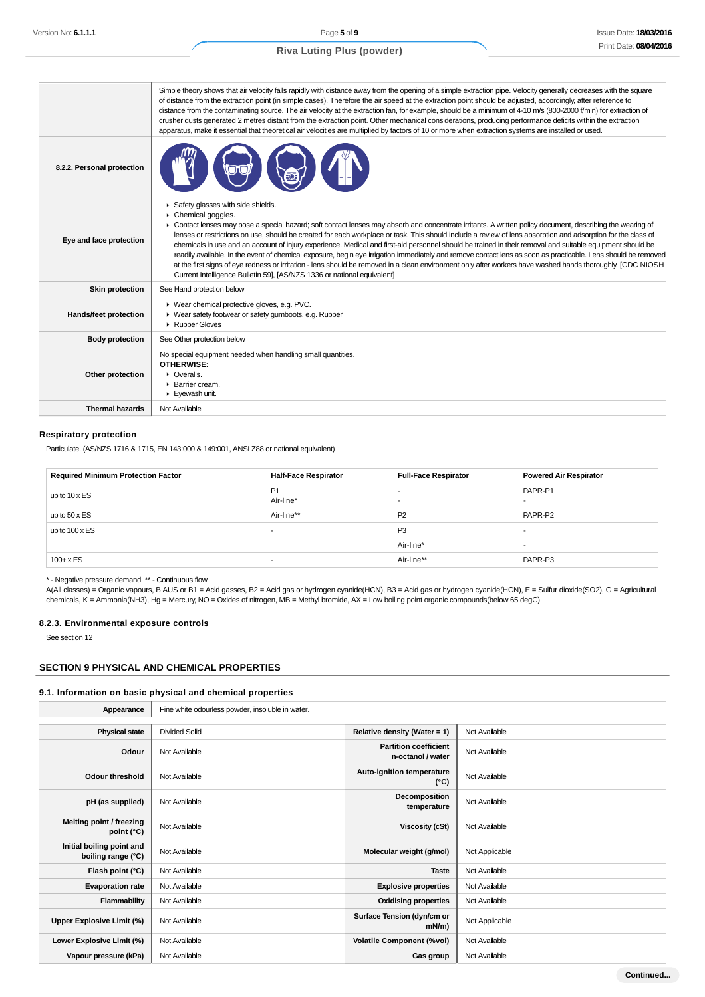|                              | Simple theory shows that air velocity falls rapidly with distance away from the opening of a simple extraction pipe. Velocity generally decreases with the square<br>of distance from the extraction point (in simple cases). Therefore the air speed at the extraction point should be adjusted, accordingly, after reference to<br>distance from the contaminating source. The air velocity at the extraction fan, for example, should be a minimum of 4-10 m/s (800-2000 f/min) for extraction of<br>crusher dusts generated 2 metres distant from the extraction point. Other mechanical considerations, producing performance deficits within the extraction<br>apparatus, make it essential that theoretical air velocities are multiplied by factors of 10 or more when extraction systems are installed or used.                                                                                                                                     |
|------------------------------|--------------------------------------------------------------------------------------------------------------------------------------------------------------------------------------------------------------------------------------------------------------------------------------------------------------------------------------------------------------------------------------------------------------------------------------------------------------------------------------------------------------------------------------------------------------------------------------------------------------------------------------------------------------------------------------------------------------------------------------------------------------------------------------------------------------------------------------------------------------------------------------------------------------------------------------------------------------|
| 8.2.2. Personal protection   |                                                                                                                                                                                                                                                                                                                                                                                                                                                                                                                                                                                                                                                                                                                                                                                                                                                                                                                                                              |
| Eye and face protection      | Safety glasses with side shields.<br>Chemical goggles.<br>► Contact lenses may pose a special hazard; soft contact lenses may absorb and concentrate irritants. A written policy document, describing the wearing of<br>lenses or restrictions on use, should be created for each workplace or task. This should include a review of lens absorption and adsorption for the class of<br>chemicals in use and an account of injury experience. Medical and first-aid personnel should be trained in their removal and suitable equipment should be<br>readily available. In the event of chemical exposure, begin eye irrigation immediately and remove contact lens as soon as practicable. Lens should be removed<br>at the first signs of eye redness or irritation - lens should be removed in a clean environment only after workers have washed hands thoroughly. [CDC NIOSH<br>Current Intelligence Bulletin 59], [AS/NZS 1336 or national equivalent] |
| <b>Skin protection</b>       | See Hand protection below                                                                                                                                                                                                                                                                                                                                                                                                                                                                                                                                                                                                                                                                                                                                                                                                                                                                                                                                    |
| <b>Hands/feet protection</b> | ▶ Wear chemical protective gloves, e.g. PVC.<br>▶ Wear safety footwear or safety gumboots, e.g. Rubber<br>Rubber Gloves                                                                                                                                                                                                                                                                                                                                                                                                                                                                                                                                                                                                                                                                                                                                                                                                                                      |
| <b>Body protection</b>       | See Other protection below                                                                                                                                                                                                                                                                                                                                                                                                                                                                                                                                                                                                                                                                                                                                                                                                                                                                                                                                   |
| Other protection             | No special equipment needed when handling small quantities.<br>OTHERWISE:<br>$\triangleright$ Overalls.<br>▶ Barrier cream.<br>Eyewash unit.                                                                                                                                                                                                                                                                                                                                                                                                                                                                                                                                                                                                                                                                                                                                                                                                                 |
| <b>Thermal hazards</b>       | Not Available                                                                                                                                                                                                                                                                                                                                                                                                                                                                                                                                                                                                                                                                                                                                                                                                                                                                                                                                                |

#### **Respiratory protection**

Particulate. (AS/NZS 1716 & 1715, EN 143:000 & 149:001, ANSI Z88 or national equivalent)

| <b>Required Minimum Protection Factor</b> | <b>Half-Face Respirator</b> | <b>Full-Face Respirator</b> | <b>Powered Air Respirator</b> |
|-------------------------------------------|-----------------------------|-----------------------------|-------------------------------|
| up to $10 \times ES$                      | <b>P1</b><br>Air-line*      |                             | PAPR-P1                       |
| up to $50 \times ES$                      | Air-line**                  | P <sub>2</sub>              | PAPR-P2                       |
| up to $100 \times ES$                     | -                           | P <sub>3</sub>              |                               |
|                                           |                             | Air-line*                   |                               |
| $100 + x ES$                              |                             | Air-line**                  | PAPR-P3                       |

\* - Negative pressure demand \*\* - Continuous flow

A(All classes) = Organic vapours, B AUS or B1 = Acid gasses, B2 = Acid gas or hydrogen cyanide(HCN), B3 = Acid gas or hydrogen cyanide(HCN), E = Sulfur dioxide(SO2), G = Agricultural chemicals, K = Ammonia(NH3), Hg = Mercury, NO = Oxides of nitrogen, MB = Methyl bromide, AX = Low boiling point organic compounds(below 65 degC)

#### **8.2.3. Environmental exposure controls**

See section 12

### **SECTION 9 PHYSICAL AND CHEMICAL PROPERTIES**

## **9.1. Information on basic physical and chemical properties**

| Appearance                                      | Fine white odourless powder, insoluble in water. |                                                   |                |  |  |
|-------------------------------------------------|--------------------------------------------------|---------------------------------------------------|----------------|--|--|
|                                                 |                                                  |                                                   |                |  |  |
| <b>Physical state</b>                           | <b>Divided Solid</b>                             | Relative density (Water = 1)                      | Not Available  |  |  |
| Odour                                           | Not Available                                    | <b>Partition coefficient</b><br>n-octanol / water | Not Available  |  |  |
| Odour threshold                                 | Not Available                                    | Auto-ignition temperature<br>$(^{\circ}C)$        | Not Available  |  |  |
| pH (as supplied)                                | Not Available                                    | Decomposition<br>temperature                      | Not Available  |  |  |
| Melting point / freezing<br>point (°C)          | Not Available                                    | <b>Viscosity (cSt)</b>                            | Not Available  |  |  |
| Initial boiling point and<br>boiling range (°C) | Not Available                                    | Molecular weight (g/mol)                          | Not Applicable |  |  |
| Flash point (°C)                                | Not Available                                    | <b>Taste</b>                                      | Not Available  |  |  |
| <b>Evaporation rate</b>                         | Not Available                                    | <b>Explosive properties</b>                       | Not Available  |  |  |
| Flammability                                    | Not Available                                    | <b>Oxidising properties</b>                       | Not Available  |  |  |
| <b>Upper Explosive Limit (%)</b>                | Not Available                                    | Surface Tension (dyn/cm or<br>mN/m)               | Not Applicable |  |  |
| Lower Explosive Limit (%)                       | Not Available                                    | <b>Volatile Component (%vol)</b>                  | Not Available  |  |  |
| Vapour pressure (kPa)                           | Not Available                                    | Gas group                                         | Not Available  |  |  |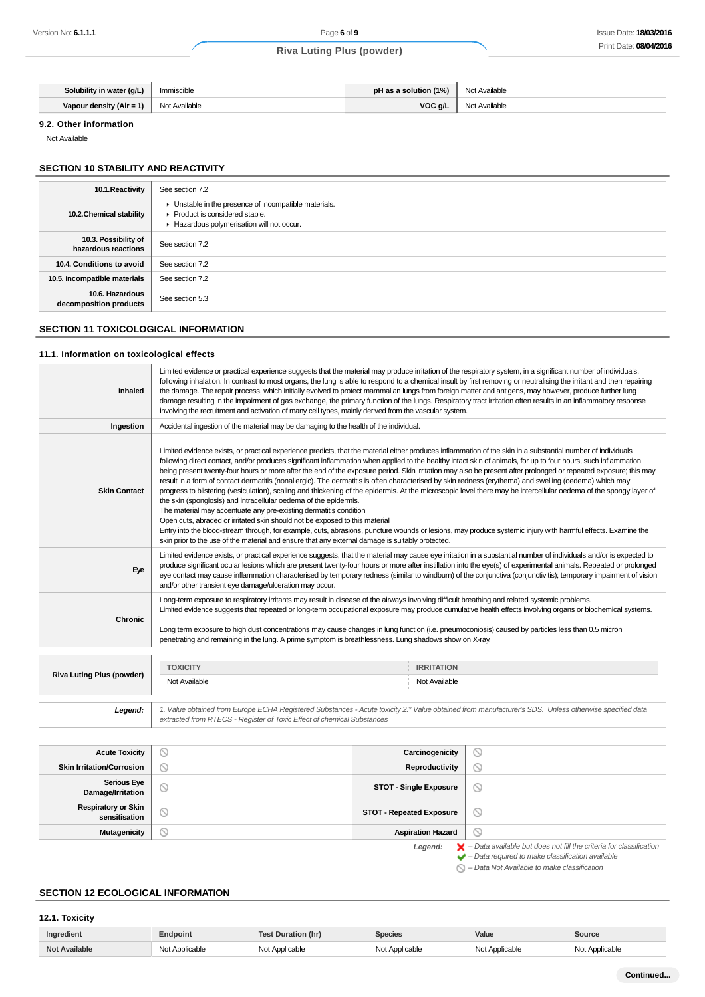| Solubility in water (g/L)                     | Immiscible | <b>pH</b> as a solution $(1\%)$ Not Available |               |
|-----------------------------------------------|------------|-----------------------------------------------|---------------|
| <b>Vapour density (Air = 1)</b> Not Available |            | VOC g/L                                       | Not Available |

### **9.2. Other information**

Not Available

## **SECTION 10 STABILITY AND REACTIVITY**

| 10.1. Reactivity                            | See section 7.2                                                                                                                      |
|---------------------------------------------|--------------------------------------------------------------------------------------------------------------------------------------|
| 10.2. Chemical stability                    | • Unstable in the presence of incompatible materials.<br>▶ Product is considered stable.<br>Hazardous polymerisation will not occur. |
| 10.3. Possibility of<br>hazardous reactions | See section 7.2                                                                                                                      |
| 10.4. Conditions to avoid                   | See section 7.2                                                                                                                      |
| 10.5. Incompatible materials                | See section 7.2                                                                                                                      |
| 10.6. Hazardous<br>decomposition products   | See section 5.3                                                                                                                      |

## **SECTION 11 TOXICOLOGICAL INFORMATION**

#### **11.1. Information on toxicological effects**

| Inhaled                                 | Limited evidence or practical experience suggests that the material may produce irritation of the respiratory system, in a significant number of individuals,<br>following inhalation. In contrast to most organs, the lung is able to respond to a chemical insult by first removing or neutralising the irritant and then repairing<br>the damage. The repair process, which initially evolved to protect mammalian lungs from foreign matter and antigens, may however, produce further lung<br>damage resulting in the impairment of gas exchange, the primary function of the lungs. Respiratory tract irritation often results in an inflammatory response<br>involving the recruitment and activation of many cell types, mainly derived from the vascular system.                                                                                                                                                                                                                                                                                                                                                                                                                                                                                                                                                     |                               |   |  |
|-----------------------------------------|-------------------------------------------------------------------------------------------------------------------------------------------------------------------------------------------------------------------------------------------------------------------------------------------------------------------------------------------------------------------------------------------------------------------------------------------------------------------------------------------------------------------------------------------------------------------------------------------------------------------------------------------------------------------------------------------------------------------------------------------------------------------------------------------------------------------------------------------------------------------------------------------------------------------------------------------------------------------------------------------------------------------------------------------------------------------------------------------------------------------------------------------------------------------------------------------------------------------------------------------------------------------------------------------------------------------------------|-------------------------------|---|--|
| Ingestion                               | Accidental ingestion of the material may be damaging to the health of the individual.                                                                                                                                                                                                                                                                                                                                                                                                                                                                                                                                                                                                                                                                                                                                                                                                                                                                                                                                                                                                                                                                                                                                                                                                                                         |                               |   |  |
| <b>Skin Contact</b>                     | Limited evidence exists, or practical experience predicts, that the material either produces inflammation of the skin in a substantial number of individuals<br>following direct contact, and/or produces significant inflammation when applied to the healthy intact skin of animals, for up to four hours, such inflammation<br>being present twenty-four hours or more after the end of the exposure period. Skin irritation may also be present after prolonged or repeated exposure; this may<br>result in a form of contact dermatitis (nonallergic). The dermatitis is often characterised by skin redness (erythema) and swelling (oedema) which may<br>progress to blistering (vesiculation), scaling and thickening of the epidermis. At the microscopic level there may be intercellular oedema of the spongy layer of<br>the skin (spongiosis) and intracellular oedema of the epidermis.<br>The material may accentuate any pre-existing dermatitis condition<br>Open cuts, abraded or irritated skin should not be exposed to this material<br>Entry into the blood-stream through, for example, cuts, abrasions, puncture wounds or lesions, may produce systemic injury with harmful effects. Examine the<br>skin prior to the use of the material and ensure that any external damage is suitably protected. |                               |   |  |
| Eye                                     | Limited evidence exists, or practical experience suggests, that the material may cause eye irritation in a substantial number of individuals and/or is expected to<br>produce significant ocular lesions which are present twenty-four hours or more after instillation into the eye(s) of experimental animals. Repeated or prolonged<br>eye contact may cause inflammation characterised by temporary redness (similar to windburn) of the conjunctiva (conjunctivitis); temporary impairment of vision<br>and/or other transient eye damage/ulceration may occur.                                                                                                                                                                                                                                                                                                                                                                                                                                                                                                                                                                                                                                                                                                                                                          |                               |   |  |
| Chronic                                 | Long-term exposure to respiratory irritants may result in disease of the airways involving difficult breathing and related systemic problems.<br>Limited evidence suggests that repeated or long-term occupational exposure may produce cumulative health effects involving organs or biochemical systems.<br>Long term exposure to high dust concentrations may cause changes in lung function (i.e. pneumoconiosis) caused by particles less than 0.5 micron<br>penetrating and remaining in the lung. A prime symptom is breathlessness. Lung shadows show on X-ray.                                                                                                                                                                                                                                                                                                                                                                                                                                                                                                                                                                                                                                                                                                                                                       |                               |   |  |
|                                         |                                                                                                                                                                                                                                                                                                                                                                                                                                                                                                                                                                                                                                                                                                                                                                                                                                                                                                                                                                                                                                                                                                                                                                                                                                                                                                                               |                               |   |  |
| <b>Riva Luting Plus (powder)</b>        | <b>TOXICITY</b>                                                                                                                                                                                                                                                                                                                                                                                                                                                                                                                                                                                                                                                                                                                                                                                                                                                                                                                                                                                                                                                                                                                                                                                                                                                                                                               | <b>IRRITATION</b>             |   |  |
|                                         | Not Available                                                                                                                                                                                                                                                                                                                                                                                                                                                                                                                                                                                                                                                                                                                                                                                                                                                                                                                                                                                                                                                                                                                                                                                                                                                                                                                 | Not Available                 |   |  |
| Legend:                                 | 1. Value obtained from Europe ECHA Registered Substances - Acute toxicity 2.* Value obtained from manufacturer's SDS. Unless otherwise specified data<br>extracted from RTECS - Register of Toxic Effect of chemical Substances                                                                                                                                                                                                                                                                                                                                                                                                                                                                                                                                                                                                                                                                                                                                                                                                                                                                                                                                                                                                                                                                                               |                               |   |  |
|                                         |                                                                                                                                                                                                                                                                                                                                                                                                                                                                                                                                                                                                                                                                                                                                                                                                                                                                                                                                                                                                                                                                                                                                                                                                                                                                                                                               |                               |   |  |
| <b>Acute Toxicity</b>                   | $\circ$                                                                                                                                                                                                                                                                                                                                                                                                                                                                                                                                                                                                                                                                                                                                                                                                                                                                                                                                                                                                                                                                                                                                                                                                                                                                                                                       | Carcinogenicity               | O |  |
| <b>Skin Irritation/Corrosion</b>        | $\circ$                                                                                                                                                                                                                                                                                                                                                                                                                                                                                                                                                                                                                                                                                                                                                                                                                                                                                                                                                                                                                                                                                                                                                                                                                                                                                                                       | Reproductivity                | ◎ |  |
| <b>Serious Eye</b><br>Damage/Irritation | ◎                                                                                                                                                                                                                                                                                                                                                                                                                                                                                                                                                                                                                                                                                                                                                                                                                                                                                                                                                                                                                                                                                                                                                                                                                                                                                                                             | <b>STOT - Single Exposure</b> | ◎ |  |

**Legend:**  $\mathsf{X}$  - Data available but does not fill the criteria for classification<br> $\mathsf{Y}$  - Data required to make classification available

 $\bigcirc$  – Data Not Available to make classification

 $\circlearrowright$  $\odot$ 

### **SECTION 12 ECOLOGICAL INFORMATION**

**Respiratory or Skin**

## **12.1. Toxicity**

| Ingredient           | Endpoint       | <b>Test Duration (hr)</b> | Species        | Value          | <b>Source</b>  |
|----------------------|----------------|---------------------------|----------------|----------------|----------------|
| <b>Not Available</b> | Not Applicable | Not Applicable            | Not Applicable | Not Applicable | Not Applicable |

**STOT - Repeated Exposure** 

**Mutagenicity Aspiration Hazard**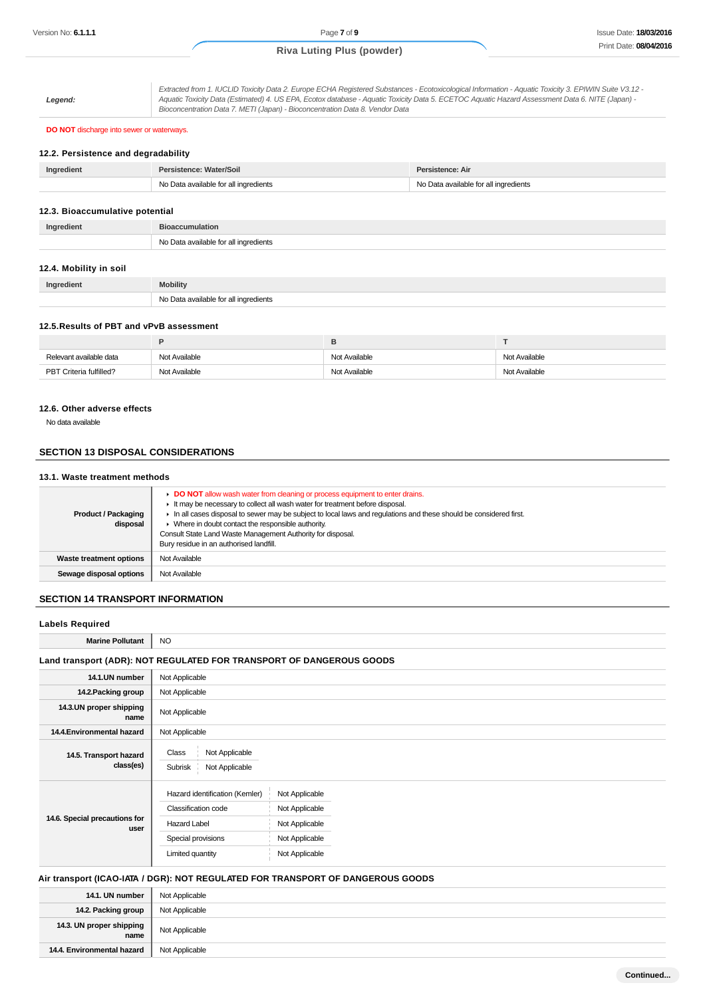**Legend:** Extracted from 1. IUCLID Toxicity Data 2. Europe ECHA Registered Substances - Ecotoxicological Information - Aquatic Toxicity 3. EPIWIN Suite V3.12 -

Aquatic Toxicity Data (Estimated) 4. US EPA, Ecotox database - Aquatic Toxicity Data 5. ECETOC Aquatic Hazard Assessment Data 6. NITE (Japan) - Bioconcentration Data 7. METI (Japan) - Bioconcentration Data 8. Vendor Data

### **DO NOT** discharge into sewer or waterways.

### **12.2. Persistence and degradability**

| Ingredient | Persistence: Water/Soil               | Persistence: Air                      |
|------------|---------------------------------------|---------------------------------------|
|            | No Data available for all ingredients | No Data available for all ingredients |

#### **12.3. Bioaccumulative potential**

| Ingredient | <b>Bioaccumulation</b>                |
|------------|---------------------------------------|
|            | No Data available for all ingredients |

### **12.4. Mobility in soil**

| Ingredient | <b>Mobility</b>                       |
|------------|---------------------------------------|
|            | No Data available for all ingredients |

#### **12.5.Results of PBT and vPvB assessment**

| Relevant available data | Not Available | Not Available | Not Available |
|-------------------------|---------------|---------------|---------------|
| PBT Criteria fulfilled? | Not Available | Not Available | Not Available |

#### **12.6. Other adverse effects**

No data available

### **SECTION 13 DISPOSAL CONSIDERATIONS**

### **13.1. Waste treatment methods**

| <b>Product / Packaging</b><br>disposal | DO NOT allow wash water from cleaning or process equipment to enter drains.<br>It may be necessary to collect all wash water for treatment before disposal.<br>In all cases disposal to sewer may be subject to local laws and regulations and these should be considered first.<br>• Where in doubt contact the responsible authority.<br>Consult State Land Waste Management Authority for disposal.<br>Bury residue in an authorised landfill. |
|----------------------------------------|---------------------------------------------------------------------------------------------------------------------------------------------------------------------------------------------------------------------------------------------------------------------------------------------------------------------------------------------------------------------------------------------------------------------------------------------------|
| Waste treatment options                | Not Available                                                                                                                                                                                                                                                                                                                                                                                                                                     |
| Sewage disposal options                | Not Available                                                                                                                                                                                                                                                                                                                                                                                                                                     |

#### **SECTION 14 TRANSPORT INFORMATION**

| <b>Labels Required</b>                |                                                                                                                        |                                                                                        |
|---------------------------------------|------------------------------------------------------------------------------------------------------------------------|----------------------------------------------------------------------------------------|
| <b>Marine Pollutant</b>               | <b>NO</b>                                                                                                              |                                                                                        |
|                                       |                                                                                                                        | Land transport (ADR): NOT REGULATED FOR TRANSPORT OF DANGEROUS GOODS                   |
| 14.1.UN number                        | Not Applicable                                                                                                         |                                                                                        |
| 14.2. Packing group                   | Not Applicable                                                                                                         |                                                                                        |
| 14.3.UN proper shipping<br>name       | Not Applicable                                                                                                         |                                                                                        |
| 14.4. Environmental hazard            | Not Applicable                                                                                                         |                                                                                        |
| 14.5. Transport hazard<br>class(es)   | Class<br>Not Applicable<br>Subrisk<br>Not Applicable                                                                   |                                                                                        |
| 14.6. Special precautions for<br>user | Hazard identification (Kemler)<br><b>Classification code</b><br>Hazard Label<br>Special provisions<br>Limited quantity | Not Applicable<br>Not Applicable<br>Not Applicable<br>Not Applicable<br>Not Applicable |

## **Air transport (ICAO-IATA / DGR): NOT REGULATED FOR TRANSPORT OF DANGEROUS GOODS**

| 14.1. UN number                  | Not Applicable |
|----------------------------------|----------------|
| 14.2. Packing group              | Not Applicable |
| 14.3. UN proper shipping<br>name | Not Applicable |
| 14.4. Environmental hazard       | Not Applicable |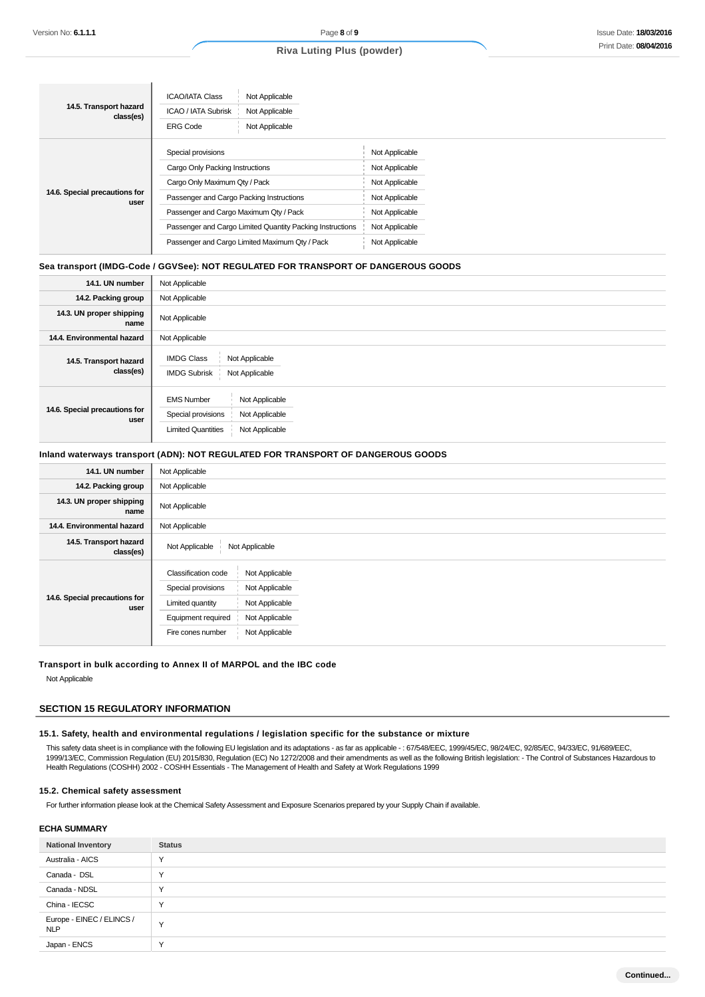| 14.5. Transport hazard<br>class(es)   | <b>ICAO/IATA Class</b><br>Not Applicable<br><b>ICAO / IATA Subrisk</b><br>Not Applicable<br>Not Applicable<br><b>ERG Code</b> |                |
|---------------------------------------|-------------------------------------------------------------------------------------------------------------------------------|----------------|
| 14.6. Special precautions for<br>user | Special provisions                                                                                                            | Not Applicable |
|                                       | Cargo Only Packing Instructions                                                                                               | Not Applicable |
|                                       | Cargo Only Maximum Qty / Pack                                                                                                 | Not Applicable |
|                                       | Passenger and Cargo Packing Instructions                                                                                      | Not Applicable |
|                                       | Passenger and Cargo Maximum Qty / Pack                                                                                        | Not Applicable |
|                                       | Passenger and Cargo Limited Quantity Packing Instructions                                                                     | Not Applicable |
|                                       | Passenger and Cargo Limited Maximum Qty / Pack                                                                                | Not Applicable |

#### **Sea transport (IMDG-Code / GGVSee): NOT REGULATED FOR TRANSPORT OF DANGEROUS GOODS**

ı

| 14.1. UN number                       | Not Applicable                                                                                                             |  |
|---------------------------------------|----------------------------------------------------------------------------------------------------------------------------|--|
| 14.2. Packing group                   | Not Applicable                                                                                                             |  |
| 14.3. UN proper shipping<br>name      | Not Applicable                                                                                                             |  |
| 14.4. Environmental hazard            | Not Applicable                                                                                                             |  |
| 14.5. Transport hazard<br>class(es)   | <b>IMDG Class</b><br>Not Applicable<br><b>IMDG Subrisk</b><br>Not Applicable                                               |  |
| 14.6. Special precautions for<br>user | Not Applicable<br><b>EMS Number</b><br>Special provisions<br>Not Applicable<br><b>Limited Quantities</b><br>Not Applicable |  |

### **Inland waterways transport (ADN): NOT REGULATED FOR TRANSPORT OF DANGEROUS GOODS**

| 14.1. UN number                       | Not Applicable                                                                                                                                                                                     |  |
|---------------------------------------|----------------------------------------------------------------------------------------------------------------------------------------------------------------------------------------------------|--|
| 14.2. Packing group                   | Not Applicable                                                                                                                                                                                     |  |
| 14.3. UN proper shipping<br>name      | Not Applicable                                                                                                                                                                                     |  |
| 14.4. Environmental hazard            | Not Applicable                                                                                                                                                                                     |  |
| 14.5. Transport hazard<br>class(es)   | Not Applicable<br>Not Applicable                                                                                                                                                                   |  |
| 14.6. Special precautions for<br>user | Classification code<br>Not Applicable<br>Special provisions<br>Not Applicable<br>Not Applicable<br>Limited quantity<br>Equipment required<br>Not Applicable<br>Not Applicable<br>Fire cones number |  |

#### **Transport in bulk according to Annex II of MARPOL and the IBC code**

Not Applicable

## **SECTION 15 REGULATORY INFORMATION**

#### **15.1. Safety, health and environmental regulations / legislation specific for the substance or mixture**

This safety data sheet is in compliance with the following EU legislation and its adaptations - as far as applicable -: 67/548/EEC, 1999/45/EC, 98/24/EC, 92/85/EC, 94/33/EC, 91/689/EEC, 1999/13/EC, Commission Regulation (EU) 2015/830, Regulation (EC) No 1272/2008 and their amendments as well as the following British legislation: - The Control of Substances Hazardous to Health Regulations (COSHH) 2002 - COSHH Essentials - The Management of Health and Safety at Work Regulations 1999

#### **15.2. Chemical safety assessment**

For further information please look at the Chemical Safety Assessment and Exposure Scenarios prepared by your Supply Chain if available.

#### **ECHA SUMMARY**

| <b>National Inventory</b>               | <b>Status</b> |
|-----------------------------------------|---------------|
| Australia - AICS                        | $\checkmark$  |
| Canada - DSL                            | $\checkmark$  |
| Canada - NDSL                           | $\checkmark$  |
| China - IECSC                           | $\checkmark$  |
| Europe - EINEC / ELINCS /<br><b>NLP</b> | $\checkmark$  |
| Japan - ENCS                            | $\checkmark$  |